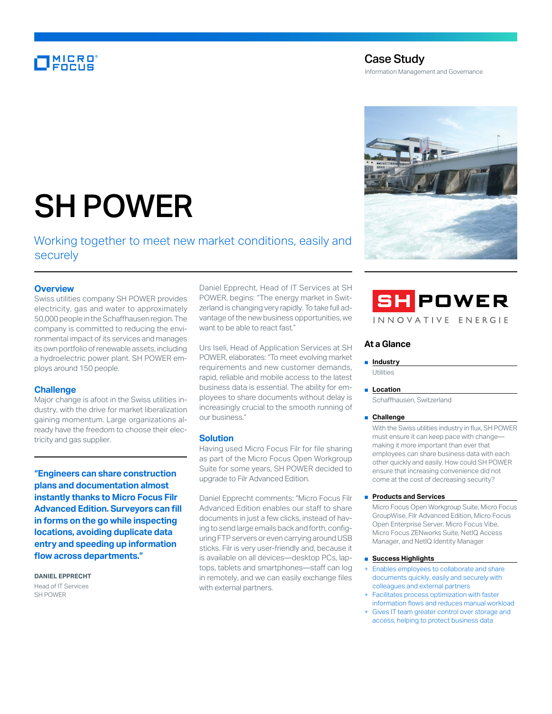# MICRO<br>Encus

# Case Study

Information Management and Governance



# SH POWER

Working together to meet new market conditions, easily and securely

## **Overview**

Swiss utilities company SH POWER provides electricity, gas and water to approximately 50,000 people in the Schaffhausen region. The company is committed to reducing the environmental impact of its services and manages its own portfolio of renewable assets, including a hydroelectric power plant. SH POWER employs around 150 people.

#### **Challenge**

Major change is afoot in the Swiss utilities industry, with the drive for market liberalization gaining momentum. Large organizations already have the freedom to choose their electricity and gas supplier.

**"Engineers can share construction plans and documentation almost instantly thanks to Micro Focus Filr Advanced Edition. Surveyors can fill in forms on the go while inspecting locations, avoiding duplicate data entry and speeding up information flow across departments."**

**DANIEL EPPRECHT** Head of IT Services SH POWER

Daniel Epprecht, Head of IT Services at SH POWER, begins: "The energy market in Switzerland is changing very rapidly. To take full advantage of the new business opportunities, we want to be able to react fast."

Urs Iseli, Head of Application Services at SH POWER, elaborates: "To meet evolving market requirements and new customer demands, rapid, reliable and mobile access to the latest business data is essential. The ability for employees to share documents without delay is increasingly crucial to the smooth running of our business."

#### **Solution**

Having used Micro Focus Filr for file sharing as part of the Micro Focus Open Workgroup Suite for some years, SH POWER decided to upgrade to Filr Advanced Edition.

Daniel Epprecht comments: "Micro Focus Filr Advanced Edition enables our staff to share documents in just a few clicks, instead of having to send large emails back and forth, configuring FTP servers or even carrying around USB sticks. Filr is very user-friendly and, because it is available on all devices—desktop PCs, laptops, tablets and smartphones—staff can log in remotely, and we can easily exchange files with external partners.



#### **At a Glance**

#### ■ **Industry**

**Utilities** 

#### ■ **Location**

Schaffhausen, Switzerland

#### ■ **Challenge**

With the Swiss utilities industry in flux, SH POWER must ensure it can keep pace with change making it more important than ever that employees can share business data with each other quickly and easily. How could SH POWER ensure that increasing convenience did not come at the cost of decreasing security?

#### ■ **Products and Services**

Micro Focus Open Workgroup Suite, Micro Focus GroupWise, Filr Advanced Edition, Micro Focus Open Enterprise Server, Micro Focus Vibe, Micro Focus ZENworks Suite, NetIQ Access Manager, and NetIQ Identity Manager

#### ■ **Success Highlights**

- Enables employees to collaborate and share documents quickly, easily and securely with colleagues and external partners
- Facilitates process optimization with faster information flows and reduces manual workload
- + Gives IT team greater control over storage and access, helping to protect business data